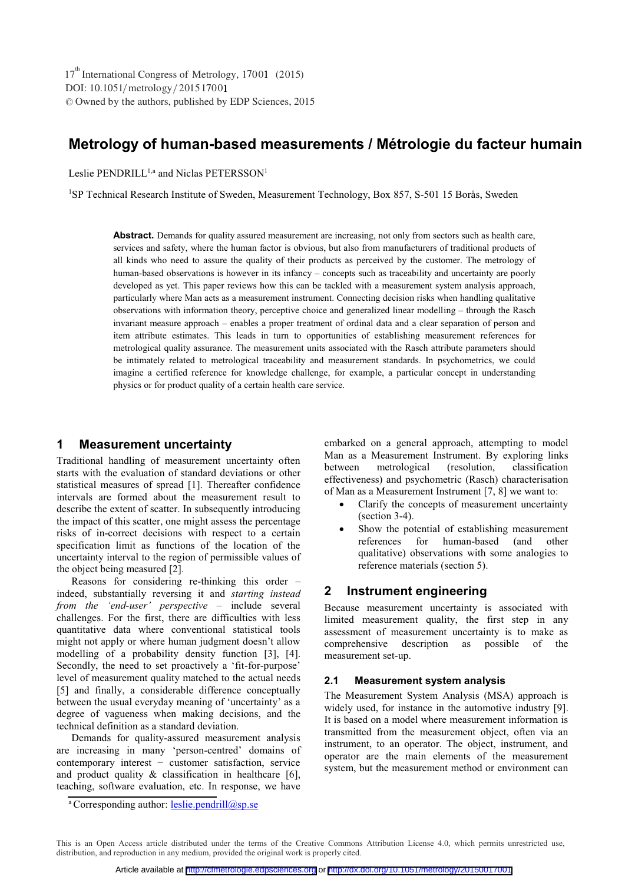# **Metrology of human-based measurements / Métrologie du facteur humain**

Leslie PENDRILL<sup>1,a</sup> and Niclas PETERSSON<sup>1</sup>

<sup>1</sup>SP Technical Research Institute of Sweden, Measurement Technology, Box 857, S-501 15 Borås, Sweden

**Abstract.** Demands for quality assured measurement are increasing, not only from sectors such as health care, services and safety, where the human factor is obvious, but also from manufacturers of traditional products of all kinds who need to assure the quality of their products as perceived by the customer. The metrology of human-based observations is however in its infancy – concepts such as traceability and uncertainty are poorly developed as yet. This paper reviews how this can be tackled with a measurement system analysis approach, particularly where Man acts as a measurement instrument. Connecting decision risks when handling qualitative observations with information theory, perceptive choice and generalized linear modelling – through the Rasch invariant measure approach – enables a proper treatment of ordinal data and a clear separation of person and item attribute estimates. This leads in turn to opportunities of establishing measurement references for metrological quality assurance. The measurement units associated with the Rasch attribute parameters should be intimately related to metrological traceability and measurement standards. In psychometrics, we could imagine a certified reference for knowledge challenge, for example, a particular concept in understanding physics or for product quality of a certain health care service.

### **1 Measurement uncertainty**

Traditional handling of measurement uncertainty often starts with the evaluation of standard deviations or other statistical measures of spread [1]. Thereafter confidence intervals are formed about the measurement result to describe the extent of scatter. In subsequently introducing the impact of this scatter, one might assess the percentage risks of in-correct decisions with respect to a certain specification limit as functions of the location of the uncertainty interval to the region of permissible values of the object being measured [2].

Reasons for considering re-thinking this order – indeed, substantially reversing it and *starting instead from the 'end-user' perspective* – include several challenges. For the first, there are difficulties with less quantitative data where conventional statistical tools might not apply or where human judgment doesn't allow modelling of a probability density function [3], [4]. Secondly, the need to set proactively a 'fit-for-purpose' level of measurement quality matched to the actual needs [5] and finally, a considerable difference conceptually between the usual everyday meaning of 'uncertainty' as a degree of vagueness when making decisions, and the technical definition as a standard deviation.

Demands for quality-assured measurement analysis are increasing in many 'person-centred' domains of contemporary interest − customer satisfaction, service and product quality & classification in healthcare [6], teaching, software evaluation, etc. In response, we have

<sup>a</sup> Corresponding author: **leslie.pendrill@sp.se** 

embarked on a general approach, attempting to model Man as a Measurement Instrument. By exploring links between metrological (resolution, classification effectiveness) and psychometric (Rasch) characterisation of Man as a Measurement Instrument [7, 8] we want to:

- - Clarify the concepts of measurement uncertainty (section 3-4).
- - Show the potential of establishing measurement references for human-based (and other qualitative) observations with some analogies to reference materials (section 5).

## **2 Instrument engineering**

Because measurement uncertainty is associated with limited measurement quality, the first step in any assessment of measurement uncertainty is to make as comprehensive description as possible of the measurement set-up.

### **2.1 Measurement system analysis**

The Measurement System Analysis (MSA) approach is widely used, for instance in the automotive industry [9]. It is based on a model where measurement information is transmitted from the measurement object, often via an instrument, to an operator. The object, instrument, and operator are the main elements of the measurement system, but the measurement method or environment can

This is an Open Access article distributed under the terms of the Creative Commons Attribution License 4.0, which permits unrestricted use, distribution, and reproduction in any medium, provided the original work is properly cited.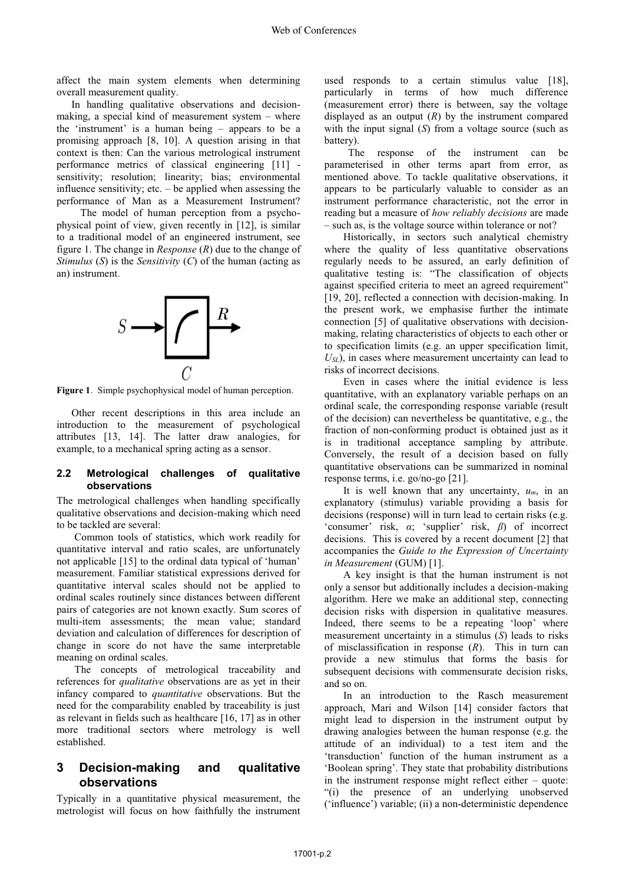affect the main system elements when determining overall measurement quality.

In handling qualitative observations and decisionmaking, a special kind of measurement system – where the 'instrument' is a human being – appears to be a promising approach [8, 10]. A question arising in that context is then: Can the various metrological instrument performance metrics of classical engineering [11] sensitivity; resolution; linearity; bias; environmental influence sensitivity; etc. – be applied when assessing the performance of Man as a Measurement Instrument?

 The model of human perception from a psychophysical point of view, given recently in [12], is similar to a traditional model of an engineered instrument, see figure 1. The change in *Response* (*R*) due to the change of *Stimulus* (*S*) is the *Sensitivity* (*C*) of the human (acting as an) instrument.



**Figure 1**. Simple psychophysical model of human perception.

Other recent descriptions in this area include an introduction to the measurement of psychological attributes [13, 14]. The latter draw analogies, for example, to a mechanical spring acting as a sensor.

#### **2.2 Metrological challenges of qualitative observations**

The metrological challenges when handling specifically qualitative observations and decision-making which need to be tackled are several:

 Common tools of statistics, which work readily for quantitative interval and ratio scales, are unfortunately not applicable [15] to the ordinal data typical of 'human' measurement. Familiar statistical expressions derived for quantitative interval scales should not be applied to ordinal scales routinely since distances between different pairs of categories are not known exactly. Sum scores of multi-item assessments; the mean value; standard deviation and calculation of differences for description of change in score do not have the same interpretable meaning on ordinal scales.

 The concepts of metrological traceability and references for *qualitative* observations are as yet in their infancy compared to *quantitative* observations. But the need for the comparability enabled by traceability is just as relevant in fields such as healthcare [16, 17] as in other more traditional sectors where metrology is well established.

## **3 Decision-making and qualitative observations**

Typically in a quantitative physical measurement, the metrologist will focus on how faithfully the instrument

used responds to a certain stimulus value [18], particularly in terms of how much difference (measurement error) there is between, say the voltage displayed as an output  $(R)$  by the instrument compared with the input signal (*S*) from a voltage source (such as battery).

The response of the instrument can be parameterised in other terms apart from error, as mentioned above. To tackle qualitative observations, it appears to be particularly valuable to consider as an instrument performance characteristic, not the error in reading but a measure of *how reliably decisions* are made – such as, is the voltage source within tolerance or not?

Historically, in sectors such analytical chemistry where the quality of less quantitative observations regularly needs to be assured, an early definition of qualitative testing is: "The classification of objects against specified criteria to meet an agreed requirement" [19, 20], reflected a connection with decision-making. In the present work, we emphasise further the intimate connection [5] of qualitative observations with decisionmaking, relating characteristics of objects to each other or to specification limits (e.g. an upper specification limit, *USL*), in cases where measurement uncertainty can lead to risks of incorrect decisions.

Even in cases where the initial evidence is less quantitative, with an explanatory variable perhaps on an ordinal scale, the corresponding response variable (result of the decision) can nevertheless be quantitative, e.g., the fraction of non-conforming product is obtained just as it is in traditional acceptance sampling by attribute. Conversely, the result of a decision based on fully quantitative observations can be summarized in nominal response terms, i.e. go/no-go [21].

It is well known that any uncertainty,  $u_m$ , in an explanatory (stimulus) variable providing a basis for decisions (response) will in turn lead to certain risks (e.g. 'consumer' risk, *α*; 'supplier' risk, *β*) of incorrect decisions. This is covered by a recent document [2] that accompanies the *Guide to the Expression of Uncertainty in Measurement* (GUM) [1].

A key insight is that the human instrument is not only a sensor but additionally includes a decision-making algorithm. Here we make an additional step, connecting decision risks with dispersion in qualitative measures. Indeed, there seems to be a repeating 'loop' where measurement uncertainty in a stimulus (*S*) leads to risks of misclassification in response (*R*). This in turn can provide a new stimulus that forms the basis for subsequent decisions with commensurate decision risks, and so on.

In an introduction to the Rasch measurement approach, Mari and Wilson [14] consider factors that might lead to dispersion in the instrument output by drawing analogies between the human response (e.g. the attitude of an individual) to a test item and the 'transduction' function of the human instrument as a 'Boolean spring'. They state that probability distributions in the instrument response might reflect either – quote: "(i) the presence of an underlying unobserved ('influence') variable; (ii) a non-deterministic dependence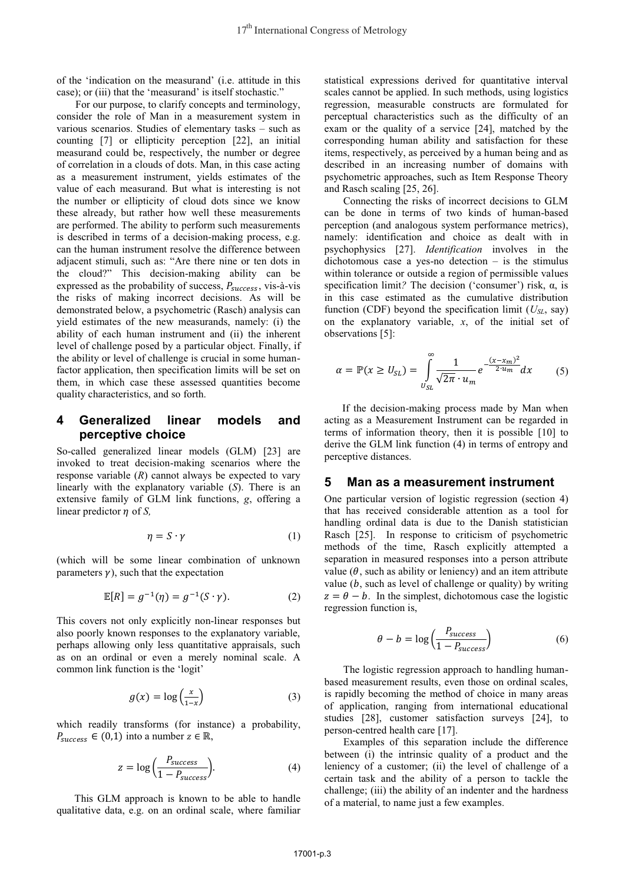of the 'indication on the measurand' (i.e. attitude in this case); or (iii) that the 'measurand' is itself stochastic."

For our purpose, to clarify concepts and terminology, consider the role of Man in a measurement system in various scenarios. Studies of elementary tasks – such as counting [7] or ellipticity perception [22], an initial measurand could be, respectively, the number or degree of correlation in a clouds of dots. Man, in this case acting as a measurement instrument, yields estimates of the value of each measurand. But what is interesting is not the number or ellipticity of cloud dots since we know these already, but rather how well these measurements are performed. The ability to perform such measurements is described in terms of a decision-making process, e.g. can the human instrument resolve the difference between adjacent stimuli, such as: "Are there nine or ten dots in the cloud?" This decision-making ability can be expressed as the probability of success,  $P_{success}$ , vis-à-vis<br>the risks of making incorrect decisions. As will be the risks of making incorrect decisions. As will be demonstrated below, a psychometric (Rasch) analysis can yield estimates of the new measurands, namely: (i) the ability of each human instrument and (ii) the inherent level of challenge posed by a particular object. Finally, if the ability or level of challenge is crucial in some humanfactor application, then specification limits will be set on them, in which case these assessed quantities become quality characteristics, and so forth.

### **4 Generalized linear models and perceptive choice**

So-called generalized linear models (GLM) [23] are invoked to treat decision-making scenarios where the response variable (*R*) cannot always be expected to vary linearly with the explanatory variable (*S*). There is an extensive family of GLM link functions, *g*, offering a linear predictor  $\eta$  of *S*,

$$
\eta = S \cdot \gamma \tag{1}
$$

(which will be some linear combination of unknown parameters  $\gamma$ ), such that the expectation

$$
\mathbb{E}[R] = g^{-1}(\eta) = g^{-1}(S \cdot \gamma). \tag{2}
$$

This covers not only explicitly non-linear responses but also poorly known responses to the explanatory variable, perhaps allowing only less quantitative appraisals, such as on an ordinal or even a merely nominal scale. A common link function is the 'logit'

$$
g(x) = \log\left(\frac{x}{1-x}\right) \tag{3}
$$

which readily transforms (for instance) a probability,  $P_{success} \in (0,1)$  into a number  $z \in \mathbb{R}$ ,

$$
z = \log\left(\frac{P_{success}}{1 - P_{success}}\right). \tag{4}
$$

 This GLM approach is known to be able to handle qualitative data, e.g. on an ordinal scale, where familiar

statistical expressions derived for quantitative interval scales cannot be applied. In such methods, using logistics regression, measurable constructs are formulated for perceptual characteristics such as the difficulty of an exam or the quality of a service [24], matched by the corresponding human ability and satisfaction for these items, respectively, as perceived by a human being and as described in an increasing number of domains with psychometric approaches, such as Item Response Theory and Rasch scaling [25, 26].

Connecting the risks of incorrect decisions to GLM can be done in terms of two kinds of human-based perception (and analogous system performance metrics), namely: identification and choice as dealt with in psychophysics [27]. *Identification* involves in the dichotomous case a yes-no detection  $-$  is the stimulus within tolerance or outside a region of permissible values specification limit*?* The decision ('consumer') risk, α, is in this case estimated as the cumulative distribution function (CDF) beyond the specification limit (*USL*, say) on the explanatory variable, *x*, of the initial set of observations [5]:

$$
\alpha = \mathbb{P}(x \ge U_{SL}) = \int_{U_{SL}}^{\infty} \frac{1}{\sqrt{2\pi} \cdot u_m} e^{-\frac{(x - x_m)^2}{2 \cdot u_m}} dx \qquad (5)
$$

 If the decision-making process made by Man when acting as a Measurement Instrument can be regarded in terms of information theory, then it is possible [10] to derive the GLM link function (4) in terms of entropy and perceptive distances.

#### **5 Man as a measurement instrument**

One particular version of logistic regression (section 4) that has received considerable attention as a tool for handling ordinal data is due to the Danish statistician Rasch [25]. In response to criticism of psychometric methods of the time, Rasch explicitly attempted a separation in measured responses into a person attribute value  $(\theta$ , such as ability or leniency) and an item attribute value  $(b, \text{ such as level of challenge or quality})$  by writing  $z = \theta - b$ . In the simplest, dichotomous case the logistic regression function is,

$$
\theta - b = \log \left( \frac{P_{success}}{1 - P_{success}} \right) \tag{6}
$$

The logistic regression approach to handling humanbased measurement results, even those on ordinal scales, is rapidly becoming the method of choice in many areas of application, ranging from international educational studies [28], customer satisfaction surveys [24], to person-centred health care [17].

Examples of this separation include the difference between (i) the intrinsic quality of a product and the leniency of a customer; (ii) the level of challenge of a certain task and the ability of a person to tackle the challenge; (iii) the ability of an indenter and the hardness of a material, to name just a few examples.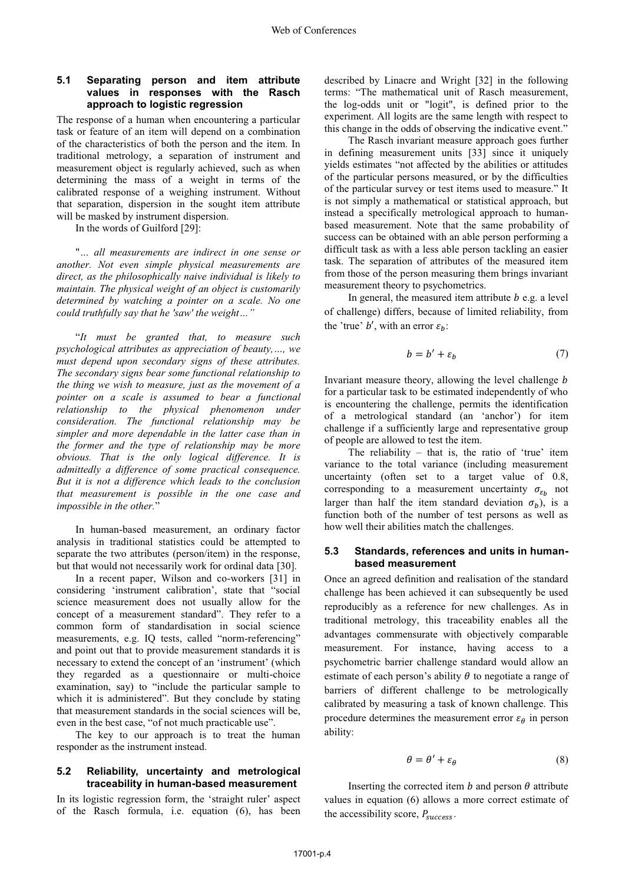### **5.1 Separating person and item attribute values in responses with the Rasch approach to logistic regression**

The response of a human when encountering a particular task or feature of an item will depend on a combination of the characteristics of both the person and the item. In traditional metrology, a separation of instrument and measurement object is regularly achieved, such as when determining the mass of a weight in terms of the calibrated response of a weighing instrument. Without that separation, dispersion in the sought item attribute will be masked by instrument dispersion.

In the words of Guilford [29]:

 "*… all measurements are indirect in one sense or another. Not even simple physical measurements are direct, as the philosophically naive individual is likely to maintain. The physical weight of an object is customarily determined by watching a pointer on a scale. No one could truthfully say that he 'saw' the weight…"*

 "*It must be granted that, to measure such psychological attributes as appreciation of beauty,…, we must depend upon secondary signs of these attributes. The secondary signs bear some functional relationship to the thing we wish to measure, just as the movement of a pointer on a scale is assumed to bear a functional relationship to the physical phenomenon under consideration. The functional relationship may be simpler and more dependable in the latter case than in the former and the type of relationship may be more obvious. That is the only logical difference. It is admittedly a difference of some practical consequence. But it is not a difference which leads to the conclusion that measurement is possible in the one case and impossible in the other.*"

 In human-based measurement, an ordinary factor analysis in traditional statistics could be attempted to separate the two attributes (person/item) in the response, but that would not necessarily work for ordinal data [30].

 In a recent paper, Wilson and co-workers [31] in considering 'instrument calibration', state that "social science measurement does not usually allow for the concept of a measurement standard". They refer to a common form of standardisation in social science measurements, e.g. IQ tests, called "norm-referencing" and point out that to provide measurement standards it is necessary to extend the concept of an 'instrument' (which they regarded as a questionnaire or multi-choice examination, say) to "include the particular sample to which it is administered". But they conclude by stating that measurement standards in the social sciences will be, even in the best case, "of not much practicable use".

 The key to our approach is to treat the human responder as the instrument instead.

#### **5.2 Reliability, uncertainty and metrological traceability in human-based measurement**

In its logistic regression form, the 'straight ruler' aspect of the Rasch formula, i.e. equation (6), has been

described by Linacre and Wright [32] in the following terms: "The mathematical unit of Rasch measurement, the log-odds unit or "logit", is defined prior to the experiment. All logits are the same length with respect to this change in the odds of observing the indicative event."

The Rasch invariant measure approach goes further in defining measurement units [33] since it uniquely yields estimates "not affected by the abilities or attitudes of the particular persons measured, or by the difficulties of the particular survey or test items used to measure." It is not simply a mathematical or statistical approach, but instead a specifically metrological approach to humanbased measurement. Note that the same probability of success can be obtained with an able person performing a difficult task as with a less able person tackling an easier task. The separation of attributes of the measured item from those of the person measuring them brings invariant measurement theory to psychometrics.

In general, the measured item attribute  $b$  e.g. a level of challenge) differs, because of limited reliability, from the 'true' b', with an error  $\varepsilon_b$ :

$$
b = b' + \varepsilon_b \tag{7}
$$

Invariant measure theory, allowing the level challenge  $$ for a particular task to be estimated independently of who is encountering the challenge, permits the identification of a metrological standard (an 'anchor') for item challenge if a sufficiently large and representative group of people are allowed to test the item.

The reliability – that is, the ratio of 'true' item variance to the total variance (including measurement uncertainty (often set to a target value of 0.8, corresponding to a measurement uncertainty  $\sigma_{\varepsilon_h}$  not larger than half the item standard deviation  $\sigma_b$ ), is a function both of the number of test persons as well as how well their abilities match the challenges.

#### **5.3 Standards, references and units in humanbased measurement**

Once an agreed definition and realisation of the standard challenge has been achieved it can subsequently be used reproducibly as a reference for new challenges. As in traditional metrology, this traceability enables all the advantages commensurate with objectively comparable measurement. For instance, having access to a psychometric barrier challenge standard would allow an estimate of each person's ability  $\theta$  to negotiate a range of barriers of different challenge to be metrologically calibrated by measuring a task of known challenge. This procedure determines the measurement error  $\varepsilon_{\theta}$  in person ability:

$$
\theta = \theta' + \varepsilon_{\theta} \tag{8}
$$

Inserting the corrected item  $b$  and person  $\theta$  attribute values in equation (6) allows a more correct estimate of the accessibility score,  $P_{success}$ .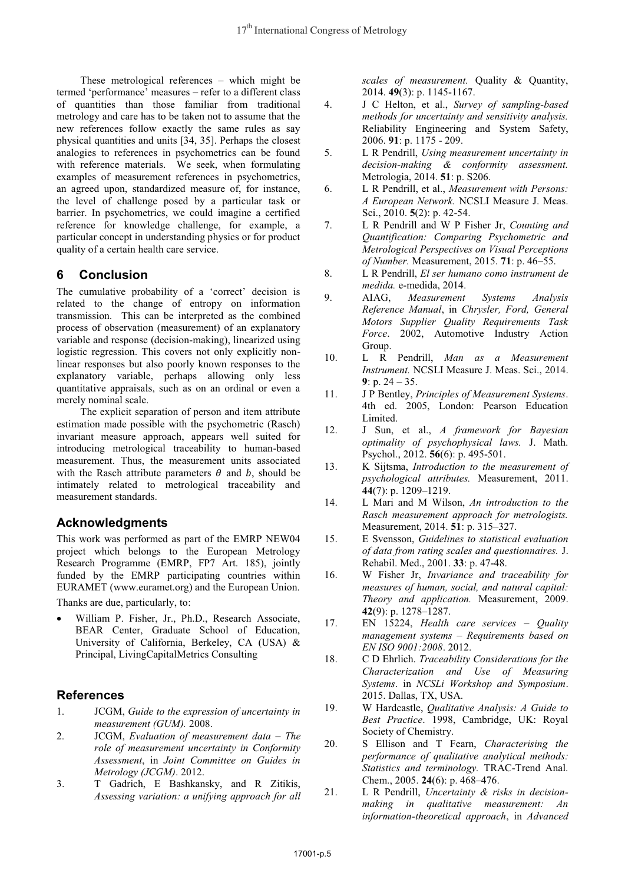These metrological references – which might be termed 'performance' measures – refer to a different class of quantities than those familiar from traditional metrology and care has to be taken not to assume that the new references follow exactly the same rules as say physical quantities and units [34, 35]. Perhaps the closest analogies to references in psychometrics can be found with reference materials. We seek, when formulating examples of measurement references in psychometrics, an agreed upon, standardized measure of, for instance, the level of challenge posed by a particular task or barrier. In psychometrics, we could imagine a certified reference for knowledge challenge, for example, a particular concept in understanding physics or for product quality of a certain health care service.

# **6 Conclusion**

The cumulative probability of a 'correct' decision is related to the change of entropy on information transmission. This can be interpreted as the combined process of observation (measurement) of an explanatory variable and response (decision-making), linearized using logistic regression. This covers not only explicitly nonlinear responses but also poorly known responses to the explanatory variable, perhaps allowing only less quantitative appraisals, such as on an ordinal or even a merely nominal scale.

The explicit separation of person and item attribute estimation made possible with the psychometric (Rasch) invariant measure approach, appears well suited for introducing metrological traceability to human-based measurement. Thus, the measurement units associated with the Rasch attribute parameters  $\theta$  and  $\phi$ , should be intimately related to metrological traceability and measurement standards.

# **Acknowledgments**

This work was performed as part of the EMRP NEW04 project which belongs to the European Metrology Research Programme (EMRP, FP7 Art. 185), jointly funded by the EMRP participating countries within EURAMET (www.euramet.org) and the European Union.

Thanks are due, particularly, to:

- William P. Fisher, Jr., Ph.D., Research Associate, BEAR Center, Graduate School of Education, University of California, Berkeley, CA (USA) & Principal, LivingCapitalMetrics Consulting

# **References**

- 1. JCGM, *Guide to the expression of uncertainty in measurement (GUM).* 2008.
- 2. JCGM, *Evaluation of measurement data – The role of measurement uncertainty in Conformity Assessment*, in *Joint Committee on Guides in Metrology (JCGM)*. 2012.
- 3. T Gadrich, E Bashkansky, and R Zitikis, *Assessing variation: a unifying approach for all*

*scales of measurement.* Quality & Quantity, 2014. **49**(3): p. 1145-1167.

- 4. J C Helton, et al., *Survey of sampling-based methods for uncertainty and sensitivity analysis.* Reliability Engineering and System Safety, 2006. **91**: p. 1175 - 209.
- 5. L R Pendrill, *Using measurement uncertainty in decision-making & conformity assessment.* Metrologia, 2014. **51**: p. S206.
- 6. L R Pendrill, et al., *Measurement with Persons: A European Network.* NCSLI Measure J. Meas. Sci., 2010. **5**(2): p. 42-54.
- 7. L R Pendrill and W P Fisher Jr, *Counting and Quantification: Comparing Psychometric and Metrological Perspectives on Visual Perceptions of Number.* Measurement, 2015. **71**: p. 46–55.
- 8. L R Pendrill, *El ser humano como instrument de medida.* e-medida, 2014.
- 9. AIAG, *Measurement Systems Analysis Reference Manual*, in *Chrysler, Ford, General Motors Supplier Quality Requirements Task Force*. 2002, Automotive Industry Action Group.
- 10. L R Pendrill, *Man as a Measurement Instrument.* NCSLI Measure J. Meas. Sci., 2014. **9**: p. 24 – 35.
- 11. J P Bentley, *Principles of Measurement Systems*. 4th ed. 2005, London: Pearson Education Limited.
- 12. J Sun, et al., *A framework for Bayesian optimality of psychophysical laws.* J. Math. Psychol., 2012. **56**(6): p. 495-501.
- 13. K Sijtsma, *Introduction to the measurement of psychological attributes.* Measurement, 2011. **44**(7): p. 1209–1219.
- 14. L Mari and M Wilson, *An introduction to the Rasch measurement approach for metrologists.* Measurement, 2014. **51**: p. 315–327.
- 15. E Svensson, *Guidelines to statistical evaluation of data from rating scales and questionnaires.* J. Rehabil. Med., 2001. **33**: p. 47-48.
- 16. W Fisher Jr, *Invariance and traceability for measures of human, social, and natural capital: Theory and application.* Measurement, 2009. **42**(9): p. 1278–1287.
- 17. EN 15224, *Health care services – Quality management systems – Requirements based on EN ISO 9001:2008*. 2012.
- 18. C D Ehrlich. *Traceability Considerations for the Characterization and Use of Measuring Systems*. in *NCSLi Workshop and Symposium*. 2015. Dallas, TX, USA.
- 19. W Hardcastle, *Qualitative Analysis: A Guide to Best Practice*. 1998, Cambridge, UK: Royal Society of Chemistry.
- 20. S Ellison and T Fearn, *Characterising the performance of qualitative analytical methods: Statistics and terminology.* TRAC-Trend Anal. Chem., 2005. **24**(6): p. 468–476.
- 21. L R Pendrill, *Uncertainty & risks in decisionmaking in qualitative measurement: An information-theoretical approach*, in *Advanced*